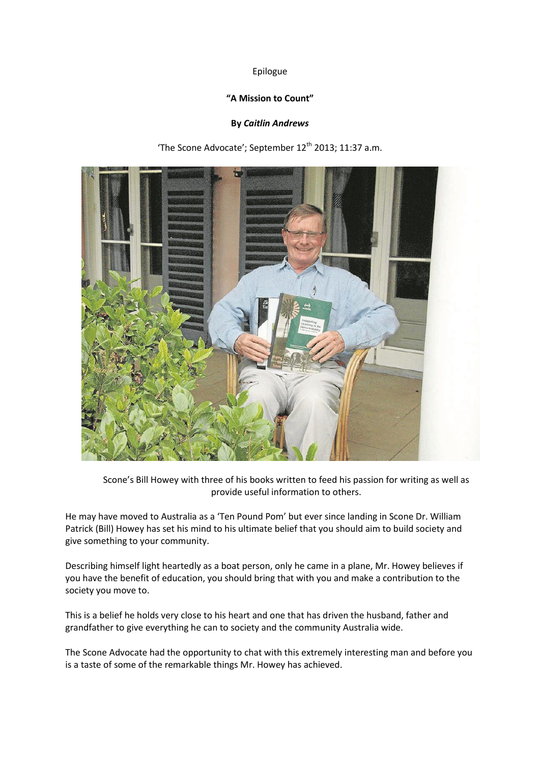# Epilogue

## **"A Mission to Count"**

## **By** *Caitlin Andrews*

'The Scone Advocate'; September 12<sup>th</sup> 2013; 11:37 a.m.



Scone's Bill Howey with three of his books written to feed his passion for writing as well as provide useful information to others.

He may have moved to Australia as a 'Ten Pound Pom' but ever since landing in Scone Dr. William Patrick (Bill) Howey has set his mind to his ultimate belief that you should aim to build society and give something to your community.

Describing himself light heartedly as a boat person, only he came in a plane, Mr. Howey believes if you have the benefit of education, you should bring that with you and make a contribution to the society you move to.

This is a belief he holds very close to his heart and one that has driven the husband, father and grandfather to give everything he can to society and the community Australia wide.

The Scone Advocate had the opportunity to chat with this extremely interesting man and before you is a taste of some of the remarkable things Mr. Howey has achieved.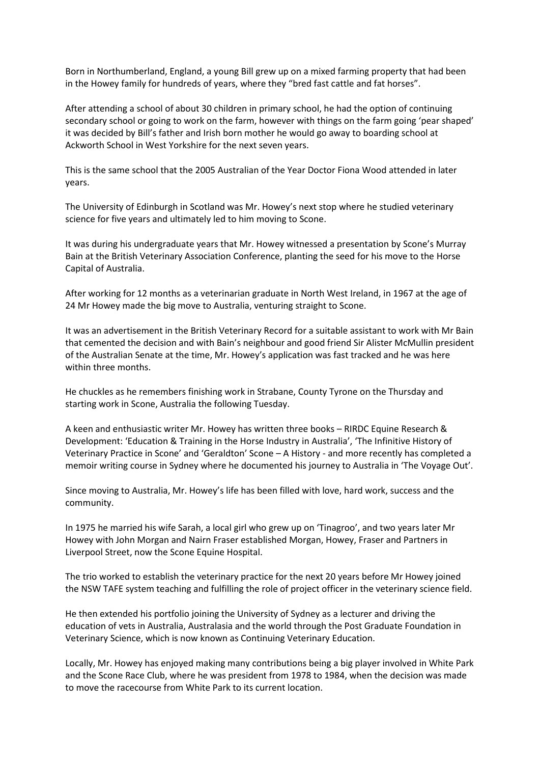Born in Northumberland, England, a young Bill grew up on a mixed farming property that had been in the Howey family for hundreds of years, where they "bred fast cattle and fat horses".

After attending a school of about 30 children in primary school, he had the option of continuing secondary school or going to work on the farm, however with things on the farm going 'pear shaped' it was decided by Bill's father and Irish born mother he would go away to boarding school at Ackworth School in West Yorkshire for the next seven years.

This is the same school that the 2005 Australian of the Year Doctor Fiona Wood attended in later years.

The University of Edinburgh in Scotland was Mr. Howey's next stop where he studied veterinary science for five years and ultimately led to him moving to Scone.

It was during his undergraduate years that Mr. Howey witnessed a presentation by Scone's Murray Bain at the British Veterinary Association Conference, planting the seed for his move to the Horse Capital of Australia.

After working for 12 months as a veterinarian graduate in North West Ireland, in 1967 at the age of 24 Mr Howey made the big move to Australia, venturing straight to Scone.

It was an advertisement in the British Veterinary Record for a suitable assistant to work with Mr Bain that cemented the decision and with Bain's neighbour and good friend Sir Alister McMullin president of the Australian Senate at the time, Mr. Howey's application was fast tracked and he was here within three months.

He chuckles as he remembers finishing work in Strabane, County Tyrone on the Thursday and starting work in Scone, Australia the following Tuesday.

A keen and enthusiastic writer Mr. Howey has written three books – RIRDC Equine Research & Development: 'Education & Training in the Horse Industry in Australia', 'The Infinitive History of Veterinary Practice in Scone' and 'Geraldton' Scone – A History - and more recently has completed a memoir writing course in Sydney where he documented his journey to Australia in 'The Voyage Out'.

Since moving to Australia, Mr. Howey's life has been filled with love, hard work, success and the community.

In 1975 he married his wife Sarah, a local girl who grew up on 'Tinagroo', and two years later Mr Howey with John Morgan and Nairn Fraser established Morgan, Howey, Fraser and Partners in Liverpool Street, now the Scone Equine Hospital.

The trio worked to establish the veterinary practice for the next 20 years before Mr Howey joined the NSW TAFE system teaching and fulfilling the role of project officer in the veterinary science field.

He then extended his portfolio joining the University of Sydney as a lecturer and driving the education of vets in Australia, Australasia and the world through the Post Graduate Foundation in Veterinary Science, which is now known as Continuing Veterinary Education.

Locally, Mr. Howey has enjoyed making many contributions being a big player involved in White Park and the Scone Race Club, where he was president from 1978 to 1984, when the decision was made to move the racecourse from White Park to its current location.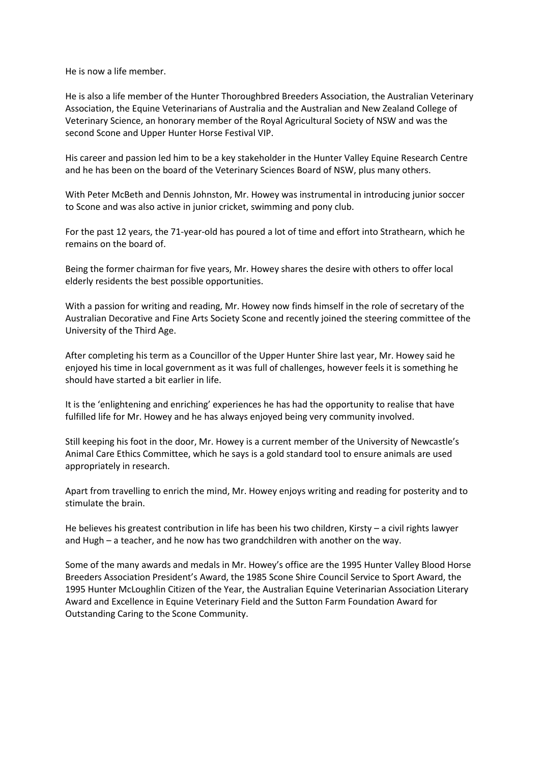He is now a life member.

He is also a life member of the Hunter Thoroughbred Breeders Association, the Australian Veterinary Association, the Equine Veterinarians of Australia and the Australian and New Zealand College of Veterinary Science, an honorary member of the Royal Agricultural Society of NSW and was the second Scone and Upper Hunter Horse Festival VIP.

His career and passion led him to be a key stakeholder in the Hunter Valley Equine Research Centre and he has been on the board of the Veterinary Sciences Board of NSW, plus many others.

With Peter McBeth and Dennis Johnston, Mr. Howey was instrumental in introducing junior soccer to Scone and was also active in junior cricket, swimming and pony club.

For the past 12 years, the 71-year-old has poured a lot of time and effort into Strathearn, which he remains on the board of.

Being the former chairman for five years, Mr. Howey shares the desire with others to offer local elderly residents the best possible opportunities.

With a passion for writing and reading, Mr. Howey now finds himself in the role of secretary of the Australian Decorative and Fine Arts Society Scone and recently joined the steering committee of the University of the Third Age.

After completing his term as a Councillor of the Upper Hunter Shire last year, Mr. Howey said he enjoyed his time in local government as it was full of challenges, however feels it is something he should have started a bit earlier in life.

It is the 'enlightening and enriching' experiences he has had the opportunity to realise that have fulfilled life for Mr. Howey and he has always enjoyed being very community involved.

Still keeping his foot in the door, Mr. Howey is a current member of the University of Newcastle's Animal Care Ethics Committee, which he says is a gold standard tool to ensure animals are used appropriately in research.

Apart from travelling to enrich the mind, Mr. Howey enjoys writing and reading for posterity and to stimulate the brain.

He believes his greatest contribution in life has been his two children, Kirsty – a civil rights lawyer and Hugh – a teacher, and he now has two grandchildren with another on the way.

Some of the many awards and medals in Mr. Howey's office are the 1995 Hunter Valley Blood Horse Breeders Association President's Award, the 1985 Scone Shire Council Service to Sport Award, the 1995 Hunter McLoughlin Citizen of the Year, the Australian Equine Veterinarian Association Literary Award and Excellence in Equine Veterinary Field and the Sutton Farm Foundation Award for Outstanding Caring to the Scone Community.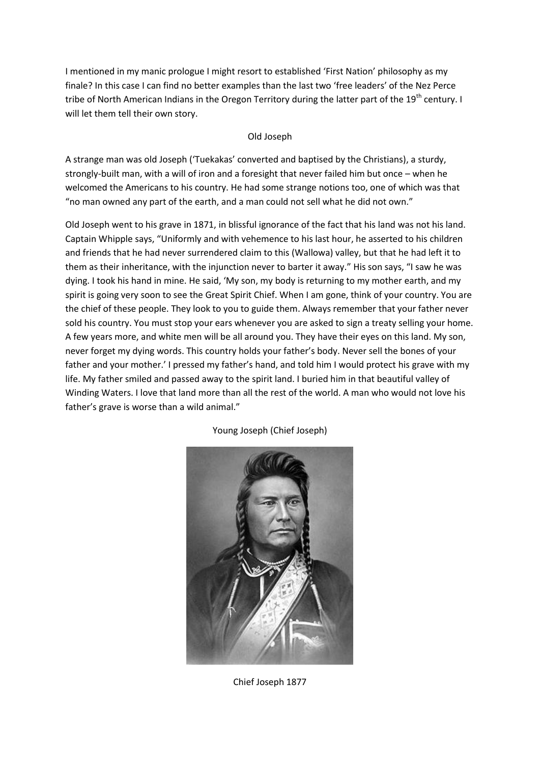I mentioned in my manic prologue I might resort to established 'First Nation' philosophy as my finale? In this case I can find no better examples than the last two 'free leaders' of the Nez Perce tribe of North American Indians in the Oregon Territory during the latter part of the 19<sup>th</sup> century. I will let them tell their own story.

# Old Joseph

A strange man was old Joseph ('Tuekakas' converted and baptised by the Christians), a sturdy, strongly-built man, with a will of iron and a foresight that never failed him but once – when he welcomed the Americans to his country. He had some strange notions too, one of which was that "no man owned any part of the earth, and a man could not sell what he did not own."

Old Joseph went to his grave in 1871, in blissful ignorance of the fact that his land was not his land. Captain Whipple says, "Uniformly and with vehemence to his last hour, he asserted to his children and friends that he had never surrendered claim to this (Wallowa) valley, but that he had left it to them as their inheritance, with the injunction never to barter it away." His son says, "I saw he was dying. I took his hand in mine. He said, 'My son, my body is returning to my mother earth, and my spirit is going very soon to see the Great Spirit Chief. When I am gone, think of your country. You are the chief of these people. They look to you to guide them. Always remember that your father never sold his country. You must stop your ears whenever you are asked to sign a treaty selling your home. A few years more, and white men will be all around you. They have their eyes on this land. My son, never forget my dying words. This country holds your father's body. Never sell the bones of your father and your mother.' I pressed my father's hand, and told him I would protect his grave with my life. My father smiled and passed away to the spirit land. I buried him in that beautiful valley of Winding Waters. I love that land more than all the rest of the world. A man who would not love his father's grave is worse than a wild animal."



Young Joseph (Chief Joseph)

Chief Joseph 1877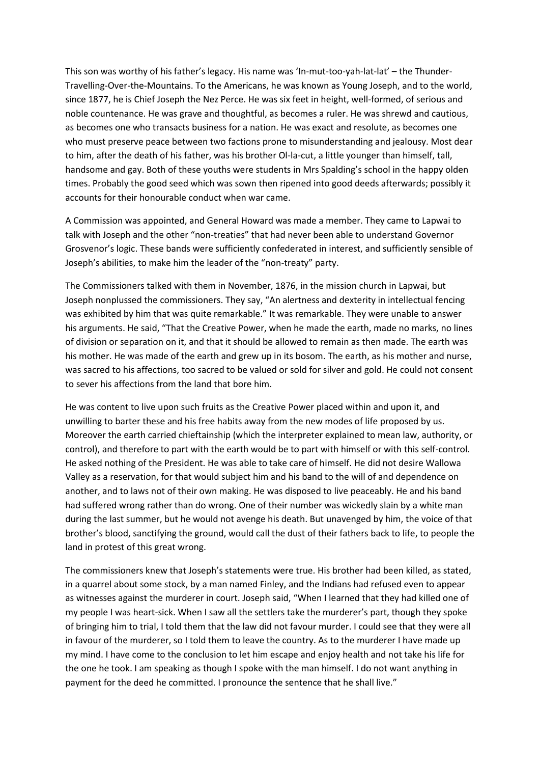This son was worthy of his father's legacy. His name was 'In-mut-too-yah-lat-lat' – the Thunder-Travelling-Over-the-Mountains. To the Americans, he was known as Young Joseph, and to the world, since 1877, he is Chief Joseph the Nez Perce. He was six feet in height, well-formed, of serious and noble countenance. He was grave and thoughtful, as becomes a ruler. He was shrewd and cautious, as becomes one who transacts business for a nation. He was exact and resolute, as becomes one who must preserve peace between two factions prone to misunderstanding and jealousy. Most dear to him, after the death of his father, was his brother Ol-la-cut, a little younger than himself, tall, handsome and gay. Both of these youths were students in Mrs Spalding's school in the happy olden times. Probably the good seed which was sown then ripened into good deeds afterwards; possibly it accounts for their honourable conduct when war came.

A Commission was appointed, and General Howard was made a member. They came to Lapwai to talk with Joseph and the other "non-treaties" that had never been able to understand Governor Grosvenor's logic. These bands were sufficiently confederated in interest, and sufficiently sensible of Joseph's abilities, to make him the leader of the "non-treaty" party.

The Commissioners talked with them in November, 1876, in the mission church in Lapwai, but Joseph nonplussed the commissioners. They say, "An alertness and dexterity in intellectual fencing was exhibited by him that was quite remarkable." It was remarkable. They were unable to answer his arguments. He said, "That the Creative Power, when he made the earth, made no marks, no lines of division or separation on it, and that it should be allowed to remain as then made. The earth was his mother. He was made of the earth and grew up in its bosom. The earth, as his mother and nurse, was sacred to his affections, too sacred to be valued or sold for silver and gold. He could not consent to sever his affections from the land that bore him.

He was content to live upon such fruits as the Creative Power placed within and upon it, and unwilling to barter these and his free habits away from the new modes of life proposed by us. Moreover the earth carried chieftainship (which the interpreter explained to mean law, authority, or control), and therefore to part with the earth would be to part with himself or with this self-control. He asked nothing of the President. He was able to take care of himself. He did not desire Wallowa Valley as a reservation, for that would subject him and his band to the will of and dependence on another, and to laws not of their own making. He was disposed to live peaceably. He and his band had suffered wrong rather than do wrong. One of their number was wickedly slain by a white man during the last summer, but he would not avenge his death. But unavenged by him, the voice of that brother's blood, sanctifying the ground, would call the dust of their fathers back to life, to people the land in protest of this great wrong.

The commissioners knew that Joseph's statements were true. His brother had been killed, as stated, in a quarrel about some stock, by a man named Finley, and the Indians had refused even to appear as witnesses against the murderer in court. Joseph said, "When I learned that they had killed one of my people I was heart-sick. When I saw all the settlers take the murderer's part, though they spoke of bringing him to trial, I told them that the law did not favour murder. I could see that they were all in favour of the murderer, so I told them to leave the country. As to the murderer I have made up my mind. I have come to the conclusion to let him escape and enjoy health and not take his life for the one he took. I am speaking as though I spoke with the man himself. I do not want anything in payment for the deed he committed. I pronounce the sentence that he shall live."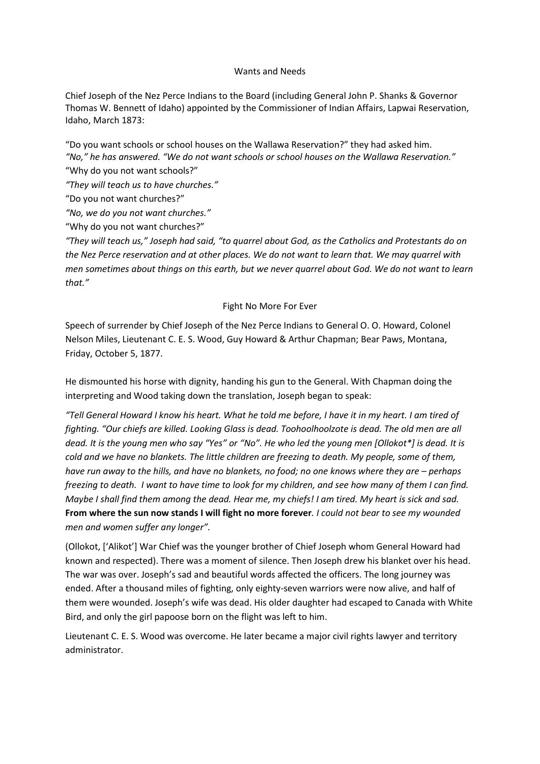#### Wants and Needs

Chief Joseph of the Nez Perce Indians to the Board (including General John P. Shanks & Governor Thomas W. Bennett of Idaho) appointed by the Commissioner of Indian Affairs, Lapwai Reservation, Idaho, March 1873:

"Do you want schools or school houses on the Wallawa Reservation?" they had asked him. *"No," he has answered. "We do not want schools or school houses on the Wallawa Reservation."* "Why do you not want schools?"

*"They will teach us to have churches."*

"Do you not want churches?"

*"No, we do you not want churches."*

"Why do you not want churches?"

*"They will teach us," Joseph had said, "to quarrel about God, as the Catholics and Protestants do on the Nez Perce reservation and at other places. We do not want to learn that. We may quarrel with men sometimes about things on this earth, but we never quarrel about God. We do not want to learn that."*

## Fight No More For Ever

Speech of surrender by Chief Joseph of the Nez Perce Indians to General O. O. Howard, Colonel Nelson Miles, Lieutenant C. E. S. Wood, Guy Howard & Arthur Chapman; Bear Paws, Montana, Friday, October 5, 1877.

He dismounted his horse with dignity, handing his gun to the General. With Chapman doing the interpreting and Wood taking down the translation, Joseph began to speak:

*"Tell General Howard I know his heart. What he told me before, I have it in my heart. I am tired of fighting. "Our chiefs are killed. Looking Glass is dead. Toohoolhoolzote is dead. The old men are all dead. It is the young men who say "Yes" or "No". He who led the young men [Ollokot\*] is dead. It is cold and we have no blankets. The little children are freezing to death. My people, some of them, have run away to the hills, and have no blankets, no food; no one knows where they are – perhaps freezing to death. I want to have time to look for my children, and see how many of them I can find. Maybe I shall find them among the dead. Hear me, my chiefs! I am tired. My heart is sick and sad.*  **From where the sun now stands I will fight no more forever***. I could not bear to see my wounded men and women suffer any longer".*

(Ollokot, ['Alikot'] War Chief was the younger brother of Chief Joseph whom General Howard had known and respected). There was a moment of silence. Then Joseph drew his blanket over his head. The war was over. Joseph's sad and beautiful words affected the officers. The long journey was ended. After a thousand miles of fighting, only eighty-seven warriors were now alive, and half of them were wounded. Joseph's wife was dead. His older daughter had escaped to Canada with White Bird, and only the girl papoose born on the flight was left to him.

Lieutenant C. E. S. Wood was overcome. He later became a major civil rights lawyer and territory administrator.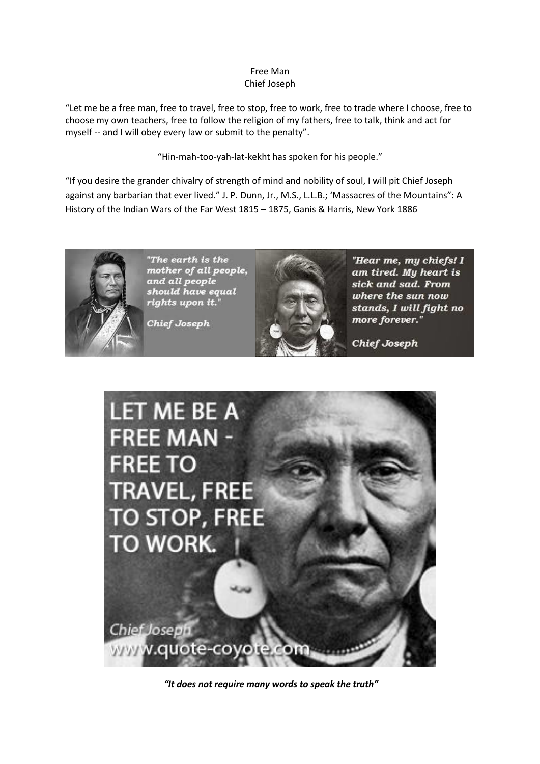# Free Man Chief Joseph

"Let me be a free man, free to travel, free to stop, free to work, free to trade where I choose, free to choose my own teachers, free to follow the religion of my fathers, free to talk, think and act for myself -- and I will obey every law or submit to the penalty".

"Hin-mah-too-yah-lat-kekht has spoken for his people."

"If you desire the grander chivalry of strength of mind and nobility of soul, I will pit Chief Joseph against any barbarian that ever lived." J. P. Dunn, Jr., M.S., L.L.B.; 'Massacres of the Mountains": A History of the Indian Wars of the Far West 1815 – 1875, Ganis & Harris, New York 1886



"The earth is the mother of all people, and all people should have equal rights upon it."

Chief Joseph



"Hear me, my chiefs! I am tired. My heart is sick and sad. From where the sun now stands, I will fight no more forever."

**Chief Joseph** 



*"It does not require many words to speak the truth"*